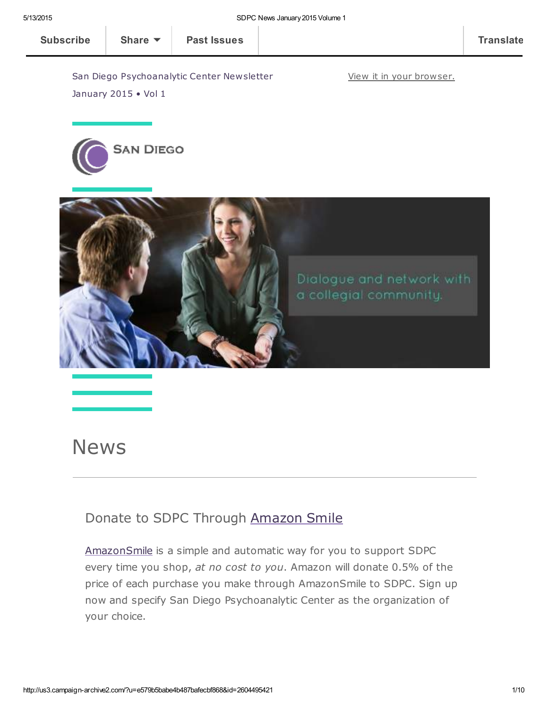View it in your [browser.](http://us3.campaign-archive1.com/?u=e579b5babe4b487bafecbf868&id=2604495421&e=[UNIQID])

San Diego Psychoanalytic Center Newsletter



January 2015 • Vol 1



## News

### Donate to SDPC Through [Amazon](http://www.sdpsychoanalyticcenter.org/node/395#overlay-context=node/395) Smile

[AmazonSmile](http://smile.amazon.com/about) is a simple and automatic way for you to support SDPC every time you shop, at no cost to you. Amazon will donate 0.5% of the price of each purchase you make through AmazonSmile to SDPC. Sign up now and specify San Diego Psychoanalytic Center as the organization of your choice.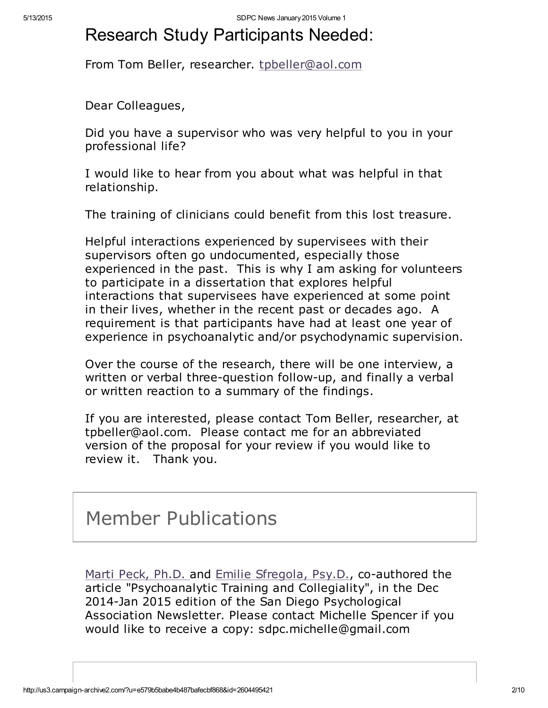## Research Study Participants Needed:

From Tom Beller, researcher. [tpbeller@aol.com](mailto:tpbeller@aol.com?subject=research%20study)

Dear Colleagues,

Did you have a supervisor who was very helpful to you in your professional life?

I would like to hear from you about what was helpful in that relationship.

The training of clinicians could benefit from this lost treasure.

Helpful interactions experienced by supervisees with their supervisors often go undocumented, especially those experienced in the past. This is why I am asking for volunteers to participate in a dissertation that explores helpful interactions that supervisees have experienced at some point in their lives, whether in the recent past or decades ago. A requirement is that participants have had at least one year of experience in psychoanalytic and/or psychodynamic supervision.

Over the course of the research, there will be one interview, a written or verbal three-question follow-up, and finally a verbal or written reaction to a summary of the findings.

If you are interested, please contact Tom Beller, researcher, at tpbeller@aol.com. Please contact me for an abbreviated version of the proposal for your review if you would like to review it. Thank you.

## Member Publications

Marti Peck, [Ph.D.](http://www.sdpsychoanalyticcenter.org/members/profiles/18#profile-main) and [Emilie](http://www.sdpsychoanalyticcenter.org/members/profiles/141#profile-main) [Sfregola,](http://www.sdpsychoanalyticcenter.org/members/profiles/141#profile-main) Psy.D., co-authored the article "Psychoanalytic Training and Collegiality", in the Dec 2014-Jan 2015 edition of the San Diego Psychological Association Newsletter. Please contact Michelle Spencer if you would like to receive a copy: sdpc.michelle@gmail.com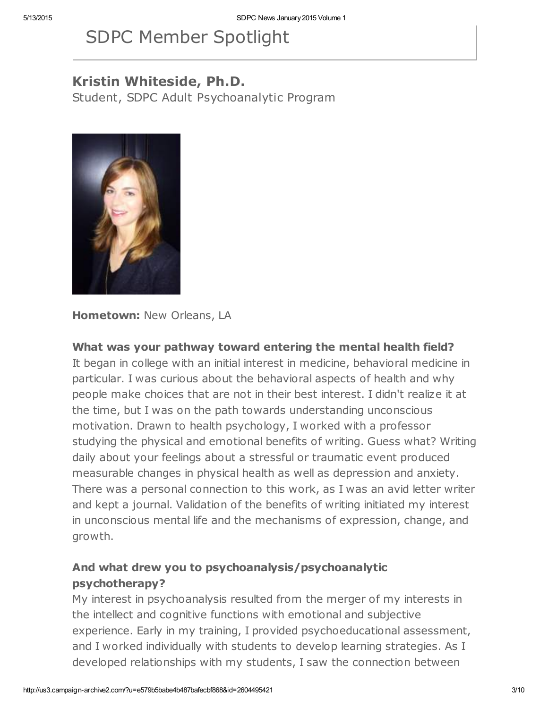# SDPC Member Spotlight

### Kristin Whiteside, Ph.D.

Student, SDPC Adult Psychoanalytic Program



Hometown: New Orleans, LA

#### What was your pathway toward entering the mental health field?

It began in college with an initial interest in medicine, behavioral medicine in particular. I was curious about the behavioral aspects of health and why people make choices that are not in their best interest. I didn't realize it at the time, but I was on the path towards understanding unconscious motivation. Drawn to health psychology, I worked with a professor studying the physical and emotional benefits of writing. Guess what? Writing daily about your feelings about a stressful or traumatic event produced measurable changes in physical health as well as depression and anxiety. There was a personal connection to this work, as I was an avid letter writer and kept a journal. Validation of the benefits of writing initiated my interest in unconscious mental life and the mechanisms of expression, change, and growth.

### And what drew you to psychoanalysis/psychoanalytic psychotherapy?

My interest in psychoanalysis resulted from the merger of my interests in the intellect and cognitive functions with emotional and subjective experience. Early in my training, I provided psychoeducational assessment, and I worked individually with students to develop learning strategies. As I developed relationships with my students, I saw the connection between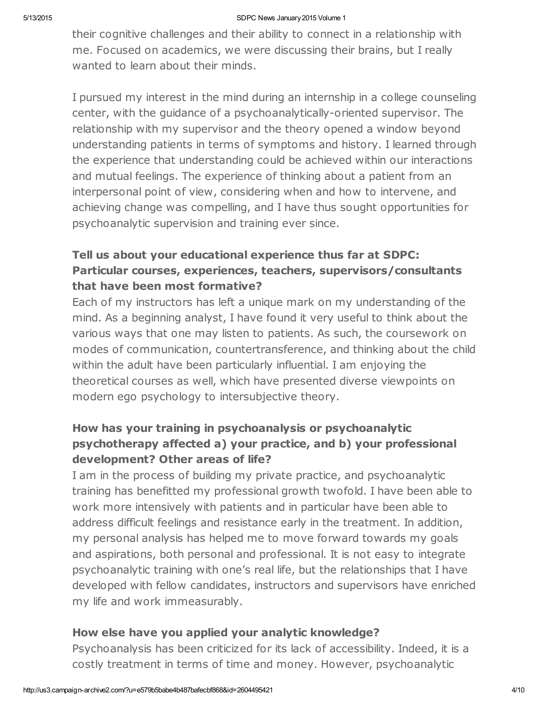their cognitive challenges and their ability to connect in a relationship with me. Focused on academics, we were discussing their brains, but I really wanted to learn about their minds.

I pursued my interest in the mind during an internship in a college counseling center, with the guidance of a psychoanalytically-oriented supervisor. The relationship with my supervisor and the theory opened a window beyond understanding patients in terms of symptoms and history. I learned through the experience that understanding could be achieved within our interactions and mutual feelings. The experience of thinking about a patient from an interpersonal point of view, considering when and how to intervene, and achieving change was compelling, and I have thus sought opportunities for psychoanalytic supervision and training ever since.

### Tell us about your educational experience thus far at SDPC: Particular courses, experiences, teachers, supervisors/consultants that have been most formative?

Each of my instructors has left a unique mark on my understanding of the mind. As a beginning analyst, I have found it very useful to think about the various ways that one may listen to patients. As such, the coursework on modes of communication, countertransference, and thinking about the child within the adult have been particularly influential. I am enjoying the theoretical courses as well, which have presented diverse viewpoints on modern ego psychology to intersubjective theory.

### How has your training in psychoanalysis or psychoanalytic psychotherapy affected a) your practice, and b) your professional development? Other areas of life?

I am in the process of building my private practice, and psychoanalytic training has benefitted my professional growth twofold. I have been able to work more intensively with patients and in particular have been able to address difficult feelings and resistance early in the treatment. In addition, my personal analysis has helped me to move forward towards my goals and aspirations, both personal and professional. It is not easy to integrate psychoanalytic training with one's real life, but the relationships that I have developed with fellow candidates, instructors and supervisors have enriched my life and work immeasurably.

#### How else have you applied your analytic knowledge?

Psychoanalysis has been criticized for its lack of accessibility. Indeed, it is a costly treatment in terms of time and money. However, psychoanalytic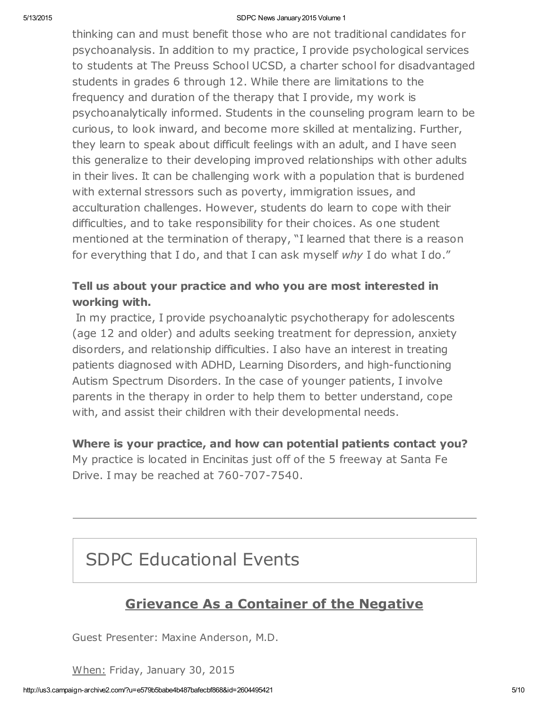#### 5/13/2015 SDPC News January2015 Volume 1

thinking can and must benefit those who are not traditional candidates for psychoanalysis. In addition to my practice, I provide psychological services to students at The Preuss School UCSD, a charter school for disadvantaged students in grades 6 through 12. While there are limitations to the frequency and duration of the therapy that I provide, my work is psychoanalytically informed. Students in the counseling program learn to be curious, to look inward, and become more skilled at mentalizing. Further, they learn to speak about difficult feelings with an adult, and I have seen this generalize to their developing improved relationships with other adults in their lives. It can be challenging work with a population that is burdened with external stressors such as poverty, immigration issues, and acculturation challenges. However, students do learn to cope with their difficulties, and to take responsibility for their choices. As one student mentioned at the termination of therapy, "I learned that there is a reason for everything that I do, and that I can ask myself why I do what I do."

### Tell us about your practice and who you are most interested in working with.

In my practice, I provide psychoanalytic psychotherapy for adolescents (age 12 and older) and adults seeking treatment for depression, anxiety disorders, and relationship difficulties. I also have an interest in treating patients diagnosed with ADHD, Learning Disorders, and high-functioning Autism Spectrum Disorders. In the case of younger patients, I involve parents in the therapy in order to help them to better understand, cope with, and assist their children with their developmental needs.

Where is your practice, and how can potential patients contact you? My practice is located in Encinitas just off of the 5 freeway at Santa Fe Drive. I may be reached at 760-707-7540.

## SDPC Educational Events

## Grievance As a Container of the Negative

Guest Presenter: Maxine Anderson, M.D.

When: Friday, January 30, 2015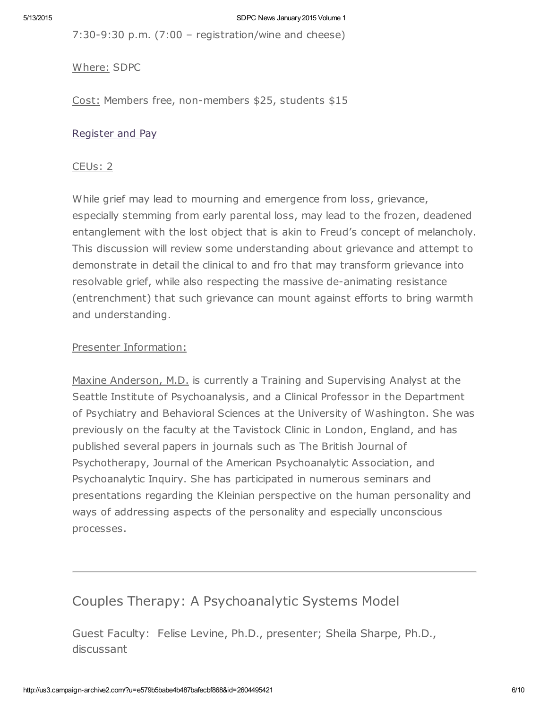7:30-9:30 p.m. (7:00 – registration/wine and cheese)

Where: SDPC

Cost: Members free, non-members \$25, students \$15

#### [Register](http://www.sdpsychoanalyticcenter.org/register-and-pay-online) and Pay

#### CEUs: 2

While grief may lead to mourning and emergence from loss, grievance, especially stemming from early parental loss, may lead to the frozen, deadened entanglement with the lost object that is akin to Freud's concept of melancholy. This discussion will review some understanding about grievance and attempt to demonstrate in detail the clinical to and fro that may transform grievance into resolvable grief, while also respecting the massive de-animating resistance (entrenchment) that such grievance can mount against efforts to bring warmth and understanding.

#### Presenter Information:

Maxine Anderson, M.D. is currently a Training and Supervising Analyst at the Seattle Institute of Psychoanalysis, and a Clinical Professor in the Department of Psychiatry and Behavioral Sciences at the University of Washington. She was previously on the faculty at the Tavistock Clinic in London, England, and has published several papers in journals such as The British Journal of Psychotherapy, Journal of the American Psychoanalytic Association, and Psychoanalytic Inquiry. She has participated in numerous seminars and presentations regarding the Kleinian perspective on the human personality and ways of addressing aspects of the personality and especially unconscious processes.

### Couples Therapy: A Psychoanalytic Systems Model

Guest Faculty: Felise Levine, Ph.D., presenter; Sheila Sharpe, Ph.D., discussant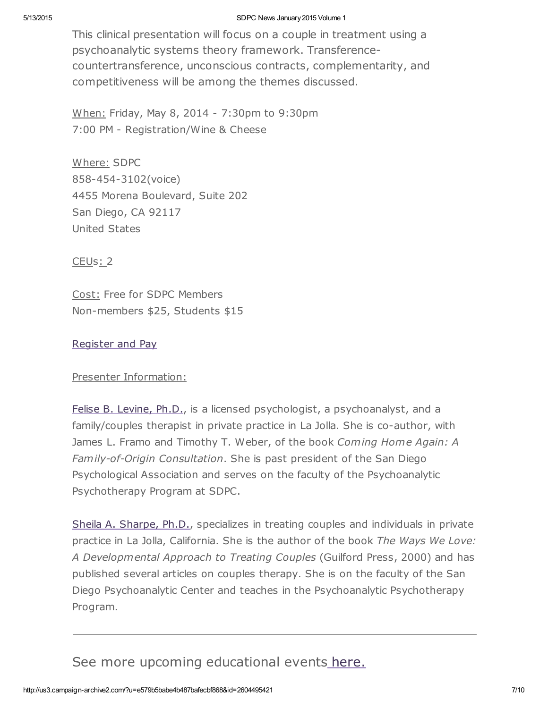#### 5/13/2015 SDPC News January2015 Volume 1

This clinical presentation will focus on a couple in treatment using a psychoanalytic systems theory framework. Transferencecountertransference, unconscious contracts, complementarity, and competitiveness will be among the themes discussed.

When: Friday, May 8, 2014 - 7:30pm to 9:30pm 7:00 PM - Registration/Wine & Cheese

Where: SDPC 858-454-3102(voice) 4455 Morena Boulevard, Suite 202 San Diego, CA 92117 United States

CEUs: 2

Cost: Free for SDPC Members Non-members \$25, Students \$15

#### [Register](http://www.sdpsychoanalyticcenter.org/register-and-pay-online) and Pay

#### Presenter Information:

Felise B. [Levine,](http://www.sdpsychoanalyticcenter.org/members/profiles/82#profile-main) Ph.D., is a licensed psychologist, a psychoanalyst, and a family/couples therapist in private practice in La Jolla. She is co-author, with James L. Framo and Timothy T. Weber, of the book Coming Home Again: A Family-of-Origin Consultation. She is past president of the San Diego Psychological Association and serves on the faculty of the Psychoanalytic Psychotherapy Program at SDPC.

Sheila A. [Sharpe,](http://www.sdpsychoanalyticcenter.org/members/profiles/103#profile-main) Ph.D., specializes in treating couples and individuals in private practice in La Jolla, California. She is the author of the book The Ways We Love: A Developmental Approach to Treating Couples (Guilford Press, 2000) and has published several articles on couples therapy. She is on the faculty of the San Diego Psychoanalytic Center and teaches in the Psychoanalytic Psychotherapy Program.

### See more upcoming educational events [here.](http://www.sdpsychoanalyticcenter.org/community-connections/upcoming-events)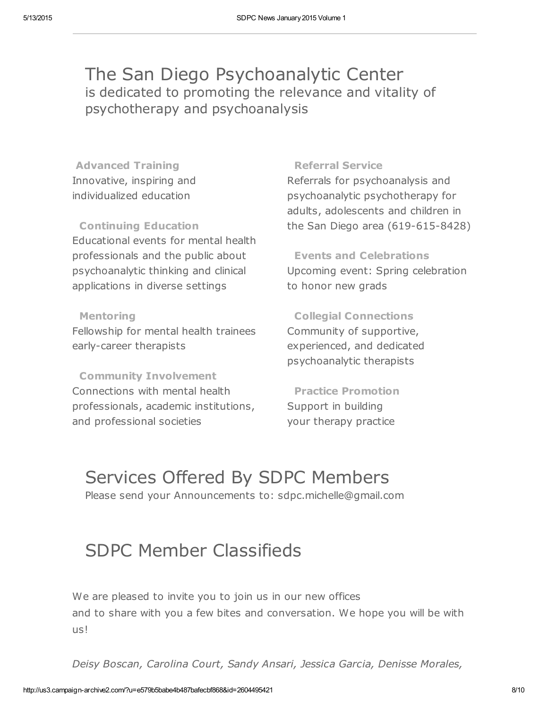## The San Diego Psychoanalytic Center is dedicated to promoting the relevance and vitality of psychotherapy and psychoanalysis

Advanced Training Innovative, inspiring and individualized education

Continuing Education Educational events for mental health professionals and the public about psychoanalytic thinking and clinical applications in diverse settings

#### Mentoring

Fellowship for mental health trainees early-career therapists

Community Involvement Connections with mental health professionals, academic institutions, and professional societies

#### Referral Service

Referrals for psychoanalysis and psychoanalytic psychotherapy for adults, adolescents and children in the San Diego area (619-615-8428)

Events and Celebrations Upcoming event: Spring celebration to honor new grads

Collegial Connections Community of supportive, experienced, and dedicated psychoanalytic therapists

Practice Promotion Support in building your therapy practice

# Services Offered By SDPC Members

Please send your Announcements to: sdpc.michelle@gmail.com

## SDPC Member Classifieds

We are pleased to invite you to join us in our new offices and to share with you a few bites and conversation. We hope you will be with us!

Deisy Boscan, Carolina Court, Sandy Ansari, Jessica Garcia, Denisse Morales,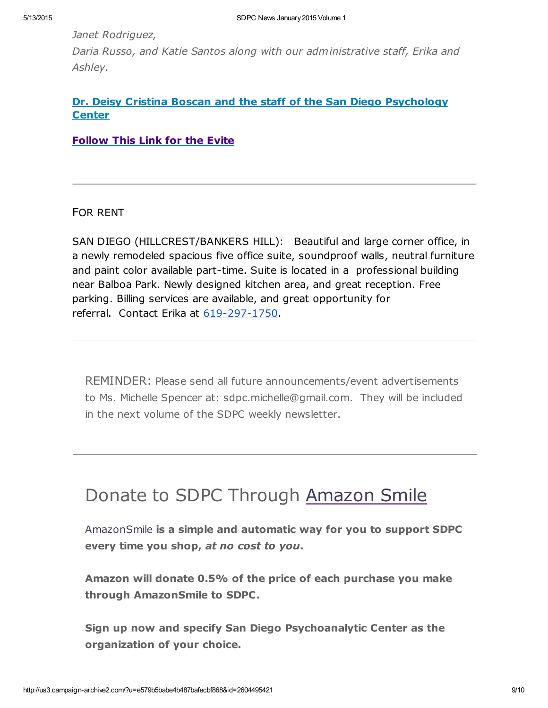Janet Rodriguez,

Daria Russo, and Katie Santos along with our administrative staff, Erika and Ashley.

#### Dr. Deisy Cristina Boscan and the staff of the San Diego [Psychology](http://www.evite.com/event/03BCMNSVBTRE6ISVAEPESSCNSXE7K4?utm_campaign=view_invitation_link&gid=03BC2PAXPP3Z2M2E4EPESU4BOMI7DQ&utm_medium=email&utm_source=GUEST_INVITE_EVENT) **Center**

Follow This Link for the Evite

FOR RENT

SAN DIEGO (HILLCREST/BANKERS HILL): Beautiful and large corner office, in a newly remodeled spacious five office suite, soundproof walls, neutral furniture and paint color available part-time. Suite is located in a professional building near Balboa Park. Newly designed kitchen area, and great reception. Free parking. Billing services are available, and great opportunity for referral. Contact Erika at [619-297-1750.](tel:619-297-1750)

REMINDER: Please send all future announcements/event advertisements to Ms. Michelle Spencer at: sdpc.michelle@gmail.com. They will be included in the next volume of the SDPC weekly newsletter.

## Donate to SDPC Through [Amazon](http://www.sdpsychoanalyticcenter.org/node/395#overlay-context=node/395) Smile

[AmazonSmile](http://smile.amazon.com/about) is a simple and automatic way for you to support SDPC every time you shop, at no cost to you.

Amazon will donate 0.5% of the price of each purchase you make through AmazonSmile to SDPC.

Sign up now and specify San Diego Psychoanalytic Center as the organization of your choice.